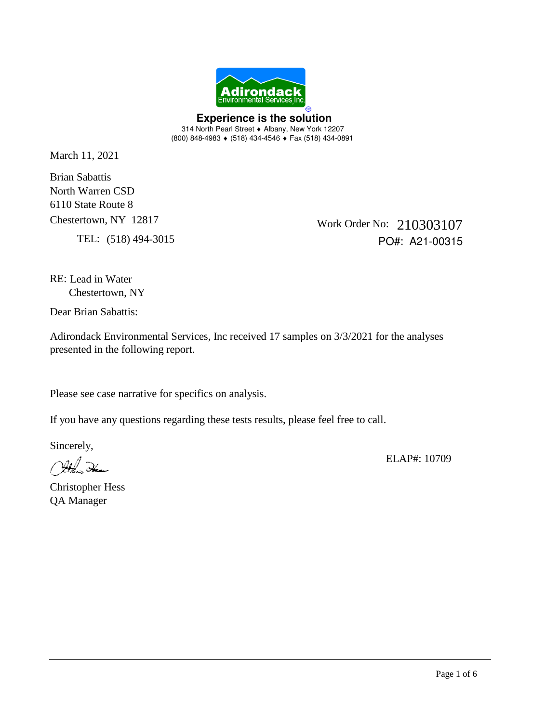

 **Experience is the solution**  314 North Pearl Street • Albany, New York 12207 (800) 848-4983 (518) 434-4546 Fax (518) 434-0891

March 11, 2021

North Warren CSD Brian Sabattis 6110 State Route 8 Chestertown, NY 12817

TEL: (518) 494-3015

Work Order No: 210303107 PO#: A21-00315

RE: Lead in Water Chestertown, NY

Dear Brian Sabattis:

Adirondack Environmental Services, Inc received 17 samples on 3/3/2021 for the analyses presented in the following report.

Please see case narrative for specifics on analysis.

If you have any questions regarding these tests results, please feel free to call.

Sincerely,

ELAP#: 10709

Christopher Hess QA Manager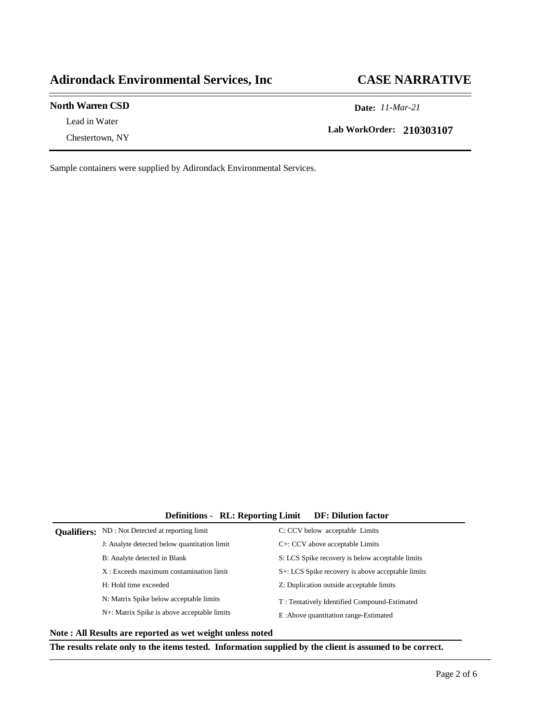#### **Adirondack Environmental Services, Inc CASE NARRATIVE**

#### **North Warren CSD Date:** *11-Mar-21*

Lead in Water Chestertown, NY

**Lab WorkOrder: 210303107**

Sample containers were supplied by Adirondack Environmental Services.

#### **Definitions - RL: Reporting Limit DF: Dilution factor**

| <b>Qualifiers:</b> ND : Not Detected at reporting limit | C: CCV below acceptable Limits                    |
|---------------------------------------------------------|---------------------------------------------------|
| J: Analyte detected below quantitation limit            | $C^+$ : CCV above acceptable Limits               |
| B: Analyte detected in Blank                            | S: LCS Spike recovery is below acceptable limits  |
| $X:$ Exceeds maximum contamination limit                | S+: LCS Spike recovery is above acceptable limits |
| H: Hold time exceeded                                   | Z: Duplication outside acceptable limits          |
| N: Matrix Spike below acceptable limits                 | T: Tentatively Identified Compound-Estimated      |
| N+: Matrix Spike is above acceptable limits             | E:Above quantitation range-Estimated              |
|                                                         |                                                   |

**Note : All Results are reported as wet weight unless noted**

**The results relate only to the items tested. Information supplied by the client is assumed to be correct.**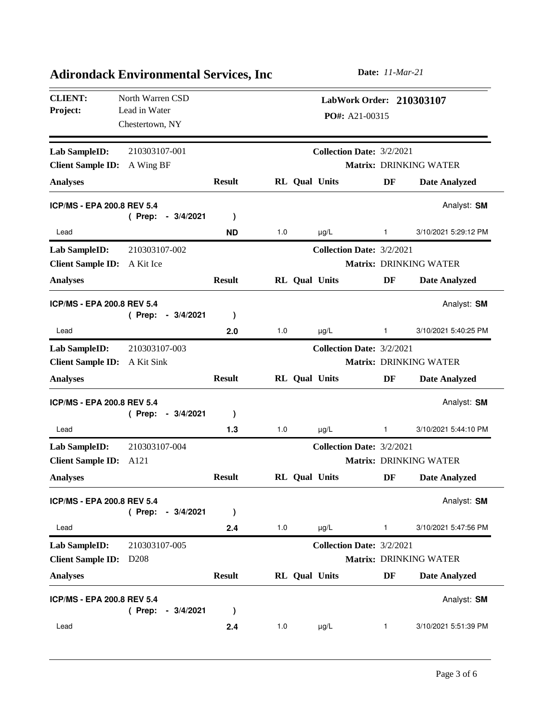| <b>CLIENT:</b><br>Project:        | North Warren CSD<br>Lead in Water<br>Chestertown, NY | LabWork Order: 210303107<br>$PO#: A21-00315$ |     |                      |                                  |                        |  |
|-----------------------------------|------------------------------------------------------|----------------------------------------------|-----|----------------------|----------------------------------|------------------------|--|
| Lab SampleID:                     | 210303107-001                                        |                                              |     |                      | Collection Date: 3/2/2021        |                        |  |
| <b>Client Sample ID:</b>          | A Wing BF                                            |                                              |     |                      |                                  | Matrix: DRINKING WATER |  |
| <b>Analyses</b>                   |                                                      | <b>Result</b>                                |     | RL Qual Units        | DF                               | <b>Date Analyzed</b>   |  |
| ICP/MS - EPA 200.8 REV 5.4        |                                                      |                                              |     |                      |                                  | Analyst: SM            |  |
|                                   | (Prep:<br>$-3/4/2021$                                | $\lambda$                                    |     |                      |                                  |                        |  |
| Lead                              |                                                      | <b>ND</b>                                    | 1.0 | $\mu$ g/L            | 1                                | 3/10/2021 5:29:12 PM   |  |
| Lab SampleID:                     | 210303107-002                                        |                                              |     |                      | <b>Collection Date: 3/2/2021</b> |                        |  |
| <b>Client Sample ID:</b>          | A Kit Ice                                            |                                              |     |                      |                                  | Matrix: DRINKING WATER |  |
| <b>Analyses</b>                   |                                                      | <b>Result</b>                                |     | RL Qual Units        | DF                               | <b>Date Analyzed</b>   |  |
| <b>ICP/MS - EPA 200.8 REV 5.4</b> | (Prep:<br>$-3/4/2021$                                | )                                            |     |                      |                                  | Analyst: SM            |  |
| Lead                              |                                                      | 2.0                                          | 1.0 | $\mu$ g/L            | 1                                | 3/10/2021 5:40:25 PM   |  |
| Lab SampleID:                     | 210303107-003                                        |                                              |     |                      | Collection Date: 3/2/2021        |                        |  |
| <b>Client Sample ID:</b>          | A Kit Sink                                           |                                              |     |                      |                                  | Matrix: DRINKING WATER |  |
| <b>Analyses</b>                   |                                                      | <b>Result</b>                                |     | <b>RL</b> Qual Units | DF                               | <b>Date Analyzed</b>   |  |
| <b>ICP/MS - EPA 200.8 REV 5.4</b> | (Prep:<br>$-3/4/2021$                                | )                                            |     |                      |                                  | Analyst: SM            |  |
| Lead                              |                                                      | 1.3                                          | 1.0 | $\mu$ g/L            | 1                                | 3/10/2021 5:44:10 PM   |  |
| Lab SampleID:                     | 210303107-004                                        |                                              |     |                      | Collection Date: 3/2/2021        |                        |  |
| <b>Client Sample ID:</b>          | A121                                                 |                                              |     |                      |                                  | Matrix: DRINKING WATER |  |
| <b>Analyses</b>                   |                                                      | <b>Result</b>                                |     | RL Qual Units        | DF                               | <b>Date Analyzed</b>   |  |
| ICP/MS - EPA 200.8 REV 5.4        | (Prep:<br>$-3/4/2021$                                | $\lambda$                                    |     |                      |                                  | Analyst: SM            |  |
| Lead                              |                                                      | 2.4                                          | 1.0 | $\mu$ g/L            | 1                                | 3/10/2021 5:47:56 PM   |  |
| Lab SampleID:                     | 210303107-005                                        |                                              |     |                      | Collection Date: 3/2/2021        |                        |  |
| <b>Client Sample ID:</b>          | D <sub>208</sub>                                     |                                              |     |                      |                                  | Matrix: DRINKING WATER |  |
| <b>Analyses</b>                   |                                                      | <b>Result</b>                                |     | RL Qual Units        | DF                               | <b>Date Analyzed</b>   |  |
| <b>ICP/MS - EPA 200.8 REV 5.4</b> | (Prep: - 3/4/2021                                    | $\lambda$                                    |     |                      |                                  | Analyst: SM            |  |
| Lead                              |                                                      | 2.4                                          | 1.0 | $\mu$ g/L            | 1                                | 3/10/2021 5:51:39 PM   |  |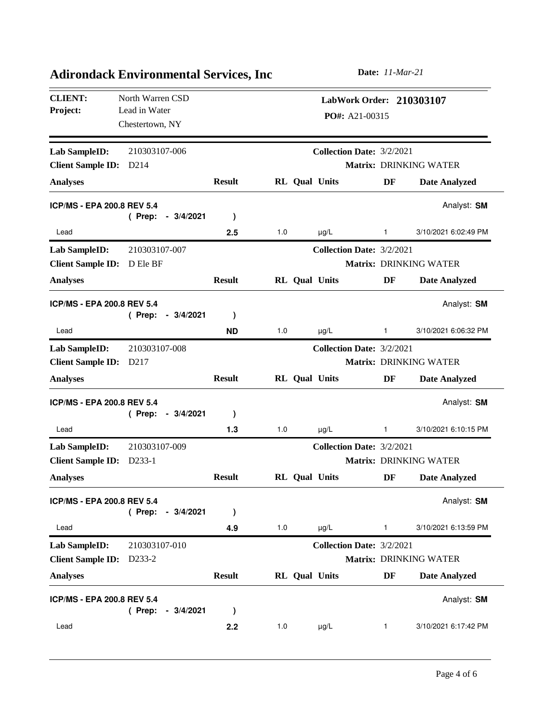| <b>CLIENT:</b><br>Project:        | North Warren CSD<br>Lead in Water<br>Chestertown, NY |               |     |                      | PO#: A21-00315                   |              | LabWork Order: 210303107      |
|-----------------------------------|------------------------------------------------------|---------------|-----|----------------------|----------------------------------|--------------|-------------------------------|
| <b>Lab SampleID:</b>              | 210303107-006                                        |               |     |                      | <b>Collection Date: 3/2/2021</b> |              |                               |
| <b>Client Sample ID:</b>          | D <sub>214</sub>                                     |               |     |                      |                                  |              | Matrix: DRINKING WATER        |
| <b>Analyses</b>                   |                                                      | <b>Result</b> |     | <b>RL</b> Qual Units |                                  | DF           | <b>Date Analyzed</b>          |
| ICP/MS - EPA 200.8 REV 5.4        | (Prep:<br>$-3/4/2021$                                | $\mathcal{E}$ |     |                      |                                  |              | Analyst: SM                   |
| Lead                              |                                                      | 2.5           | 1.0 | $\mu$ g/L            |                                  | 1            | 3/10/2021 6:02:49 PM          |
| <b>Lab SampleID:</b>              | 210303107-007                                        |               |     |                      | <b>Collection Date: 3/2/2021</b> |              |                               |
| <b>Client Sample ID:</b>          | D Ele BF                                             |               |     |                      |                                  |              | Matrix: DRINKING WATER        |
| <b>Analyses</b>                   |                                                      | <b>Result</b> |     | RL Qual Units        |                                  | DF           | <b>Date Analyzed</b>          |
| <b>ICP/MS - EPA 200.8 REV 5.4</b> | (Prep:<br>$-3/4/2021$                                | $\mathcal{E}$ |     |                      |                                  |              | Analyst: SM                   |
| Lead                              |                                                      | <b>ND</b>     | 1.0 | $\mu$ g/L            |                                  | $\mathbf{1}$ | 3/10/2021 6:06:32 PM          |
| Lab SampleID:                     | 210303107-008                                        |               |     |                      | Collection Date: 3/2/2021        |              |                               |
| <b>Client Sample ID:</b>          | D <sub>217</sub>                                     |               |     |                      |                                  |              | <b>Matrix: DRINKING WATER</b> |
| <b>Analyses</b>                   |                                                      | <b>Result</b> |     | <b>RL</b> Qual Units |                                  | DF           | <b>Date Analyzed</b>          |
| <b>ICP/MS - EPA 200.8 REV 5.4</b> | (Prep:<br>$-3/4/2021$                                | $\mathcal{E}$ |     |                      |                                  |              | Analyst: SM                   |
| Lead                              |                                                      | 1.3           | 1.0 | $\mu$ g/L            |                                  | 1            | 3/10/2021 6:10:15 PM          |
| Lab SampleID:                     | 210303107-009                                        |               |     |                      | Collection Date: 3/2/2021        |              |                               |
| <b>Client Sample ID:</b>          | D233-1                                               |               |     |                      |                                  |              | <b>Matrix: DRINKING WATER</b> |
| <b>Analyses</b>                   |                                                      | <b>Result</b> |     | RL Qual Units        |                                  | DF           | <b>Date Analyzed</b>          |
| ICP/MS - EPA 200.8 REV 5.4        | (Prep:<br>$-3/4/2021$                                | $\mathcal{E}$ |     |                      |                                  |              | Analyst: SM                   |
| Lead                              |                                                      | 4.9           | 1.0 | $\mu g/L$            |                                  | 1            | 3/10/2021 6:13:59 PM          |
| <b>Lab SampleID:</b>              | 210303107-010                                        |               |     |                      | <b>Collection Date: 3/2/2021</b> |              |                               |
| <b>Client Sample ID:</b>          | D <sub>233</sub> -2                                  |               |     |                      |                                  |              | Matrix: DRINKING WATER        |
| <b>Analyses</b>                   |                                                      | <b>Result</b> |     | <b>RL</b> Qual Units |                                  | DF           | <b>Date Analyzed</b>          |
| <b>ICP/MS - EPA 200.8 REV 5.4</b> | $-3/4/2021$<br>(Prep:                                | $\mathcal Y$  |     |                      |                                  |              | Analyst: SM                   |
| Lead                              |                                                      | 2.2           | 1.0 | $\mu$ g/L            |                                  | 1            | 3/10/2021 6:17:42 PM          |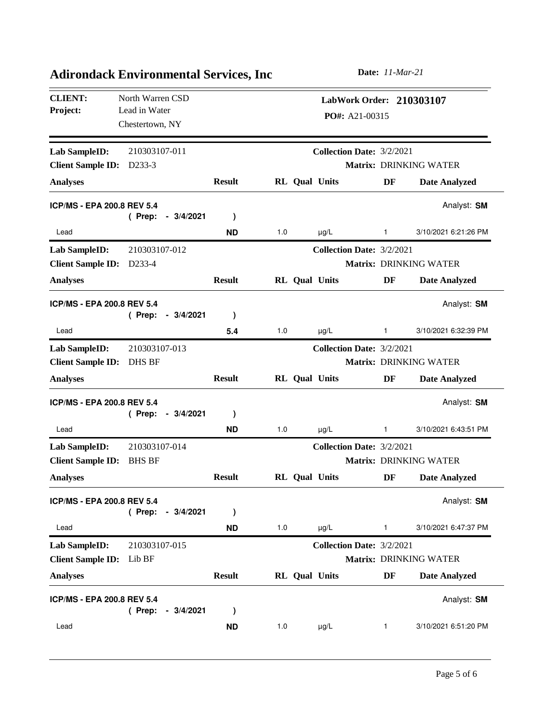| <b>CLIENT:</b><br>Project:        | North Warren CSD<br>Lead in Water<br>Chestertown, NY |               |     |                      | PO#: A21-00315                   |              | LabWork Order: 210303107      |
|-----------------------------------|------------------------------------------------------|---------------|-----|----------------------|----------------------------------|--------------|-------------------------------|
| <b>Lab SampleID:</b>              | 210303107-011                                        |               |     |                      | <b>Collection Date: 3/2/2021</b> |              |                               |
| <b>Client Sample ID:</b>          | D <sub>233</sub> -3                                  |               |     |                      |                                  |              | Matrix: DRINKING WATER        |
| <b>Analyses</b>                   |                                                      | <b>Result</b> |     | <b>RL</b> Qual Units |                                  | DF           | <b>Date Analyzed</b>          |
| ICP/MS - EPA 200.8 REV 5.4        |                                                      |               |     |                      |                                  |              | Analyst: SM                   |
|                                   | (Prep:<br>$-3/4/2021$                                | $\mathcal{E}$ |     |                      |                                  |              |                               |
| Lead                              |                                                      | <b>ND</b>     | 1.0 | $\mu$ g/L            |                                  | 1            | 3/10/2021 6:21:26 PM          |
| <b>Lab SampleID:</b>              | 210303107-012                                        |               |     |                      | <b>Collection Date: 3/2/2021</b> |              |                               |
| <b>Client Sample ID:</b>          | D233-4                                               |               |     |                      |                                  |              | Matrix: DRINKING WATER        |
| <b>Analyses</b>                   |                                                      | <b>Result</b> |     | RL Qual Units        |                                  | DF           | <b>Date Analyzed</b>          |
| <b>ICP/MS - EPA 200.8 REV 5.4</b> | (Prep:<br>$-3/4/2021$                                | $\mathcal{E}$ |     |                      |                                  |              | Analyst: SM                   |
| Lead                              |                                                      | 5.4           | 1.0 | $\mu$ g/L            |                                  | $\mathbf{1}$ | 3/10/2021 6:32:39 PM          |
| Lab SampleID:                     | 210303107-013                                        |               |     |                      | Collection Date: 3/2/2021        |              |                               |
| <b>Client Sample ID:</b>          | <b>DHS BF</b>                                        |               |     |                      |                                  |              | <b>Matrix: DRINKING WATER</b> |
| <b>Analyses</b>                   |                                                      | <b>Result</b> |     | RL Qual Units        |                                  | DF           | <b>Date Analyzed</b>          |
| <b>ICP/MS - EPA 200.8 REV 5.4</b> | $-3/4/2021$<br>(Prep:                                | $\mathcal{E}$ |     |                      |                                  |              | Analyst: SM                   |
| Lead                              |                                                      | <b>ND</b>     | 1.0 | $\mu$ g/L            |                                  | 1            | 3/10/2021 6:43:51 PM          |
| Lab SampleID:                     | 210303107-014                                        |               |     |                      | Collection Date: 3/2/2021        |              |                               |
| <b>Client Sample ID:</b>          | <b>BHS BF</b>                                        |               |     |                      |                                  |              | <b>Matrix: DRINKING WATER</b> |
| <b>Analyses</b>                   |                                                      | <b>Result</b> |     | RL Qual Units        |                                  | DF           | <b>Date Analyzed</b>          |
| ICP/MS - EPA 200.8 REV 5.4        | (Prep:<br>$-3/4/2021$                                | $\mathcal{E}$ |     |                      |                                  |              | Analyst: SM                   |
| Lead                              |                                                      | <b>ND</b>     | 1.0 | $\mu g/L$            |                                  | 1            | 3/10/2021 6:47:37 PM          |
| <b>Lab SampleID:</b>              | 210303107-015                                        |               |     |                      | <b>Collection Date: 3/2/2021</b> |              |                               |
| <b>Client Sample ID:</b>          | Lib BF                                               |               |     |                      |                                  |              | Matrix: DRINKING WATER        |
| <b>Analyses</b>                   |                                                      | <b>Result</b> |     | <b>RL</b> Qual Units |                                  | DF           | <b>Date Analyzed</b>          |
| <b>ICP/MS - EPA 200.8 REV 5.4</b> | $-3/4/2021$<br>(Prep:                                | $\lambda$     |     |                      |                                  |              | Analyst: SM                   |
| Lead                              |                                                      | <b>ND</b>     | 1.0 | $\mu$ g/L            |                                  | 1            | 3/10/2021 6:51:20 PM          |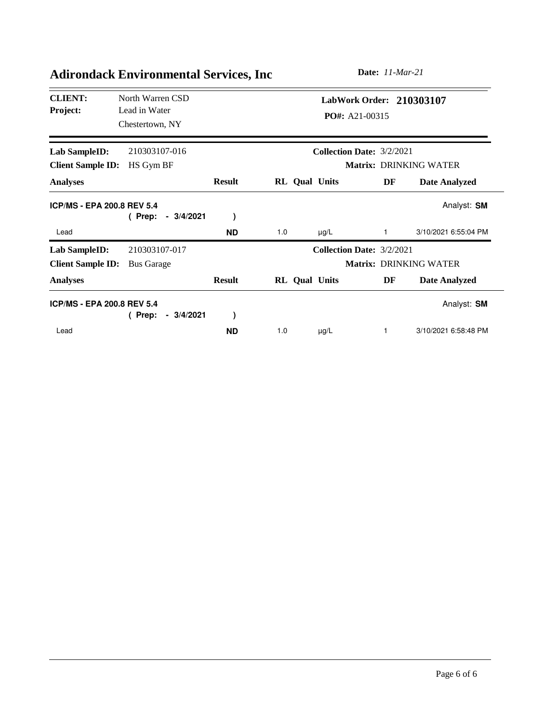| <b>CLIENT:</b><br><b>Project:</b> | North Warren CSD<br>Lead in Water<br>Chestertown, NY |               |                      |           | <b>PO#:</b> A21-00315            | LabWork Order: 210303107      |
|-----------------------------------|------------------------------------------------------|---------------|----------------------|-----------|----------------------------------|-------------------------------|
| Lab SampleID:                     | 210303107-016                                        |               |                      |           | <b>Collection Date: 3/2/2021</b> |                               |
| <b>Client Sample ID:</b>          | HS Gym BF                                            |               |                      |           |                                  | <b>Matrix: DRINKING WATER</b> |
| <b>Analyses</b>                   |                                                      | <b>Result</b> | <b>RL</b> Qual Units |           | DF                               | <b>Date Analyzed</b>          |
| <b>ICP/MS - EPA 200.8 REV 5.4</b> | $-3/4/2021$<br>(Prep:                                |               |                      |           |                                  | Analyst: SM                   |
| Lead                              |                                                      | <b>ND</b>     | 1.0                  | $\mu$ g/L |                                  | 3/10/2021 6:55:04 PM          |
| <b>Lab SampleID:</b>              | 210303107-017                                        |               |                      |           | Collection Date: 3/2/2021        |                               |
| <b>Client Sample ID:</b>          | <b>Bus Garage</b>                                    |               |                      |           |                                  | Matrix: DRINKING WATER        |
| <b>Analyses</b>                   |                                                      | <b>Result</b> | <b>RL</b> Qual Units |           | DF                               | Date Analyzed                 |
| <b>ICP/MS - EPA 200.8 REV 5.4</b> |                                                      |               |                      |           |                                  | Analyst: SM                   |
|                                   | $-3/4/2021$<br>(Prep:                                |               |                      |           |                                  |                               |
| Lead                              |                                                      | <b>ND</b>     | 1.0                  | $\mu$ g/L | 1                                | 3/10/2021 6:58:48 PM          |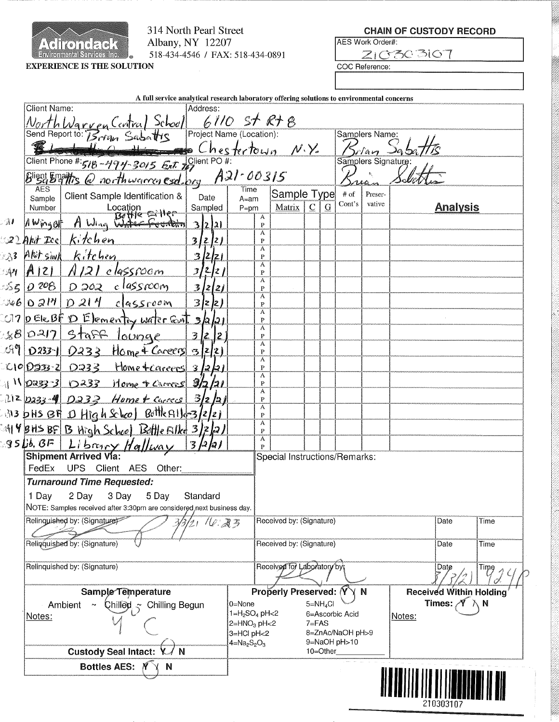

314 North Pearl Street Albany, NY 12207 518-434-4546 / FAX: 518-434-0891 **CHAIN OF CUSTODY RECORD** 

| ES Work Order#: |  |
|-----------------|--|
|                 |  |

COC Reference:

| A full service analytical research laboratory offering solutions to environmental concerns                        |                                                                           |                                            |                                |  |  |  |
|-------------------------------------------------------------------------------------------------------------------|---------------------------------------------------------------------------|--------------------------------------------|--------------------------------|--|--|--|
| <b>Client Name:</b><br>Address:                                                                                   |                                                                           |                                            |                                |  |  |  |
| North Warren Central School 6110 St R+8                                                                           |                                                                           | Samplers Name:                             |                                |  |  |  |
| $\mathcal{L}_\perp$                                                                                               |                                                                           |                                            |                                |  |  |  |
|                                                                                                                   |                                                                           | Silan Jat<br>Samplers Signature:           |                                |  |  |  |
| Client Phone #: 518 - 494-3015 Ext 2010                                                                           |                                                                           |                                            |                                |  |  |  |
| $B^{light}$ Engines @ northwarmen esd. org $A21 - 00315$<br><b>AES</b>                                            | Time                                                                      | $\overline{\mathcal{U}}$                   |                                |  |  |  |
| Client Sample Identification &<br>Date<br>Sample<br>Number Location<br>A Wing of A Wing Water Founding<br>Sampled | Sample Type<br>$A=am$<br>$\subseteq$<br>Matrix  <br>$\mathbf G$<br>$P=pm$ | $\#$ of<br>Preser-<br>Cont's<br>vative     | <b>Analysis</b>                |  |  |  |
| $\mathcal{A}$<br>3221                                                                                             | A<br>P                                                                    |                                            |                                |  |  |  |
| kitchen<br><u> 22 Akit Icel </u><br>3 2 2                                                                         | A<br>P                                                                    |                                            |                                |  |  |  |
| Akitsinh Kitchen<br>33<br>3/2/21                                                                                  | A<br>P                                                                    |                                            |                                |  |  |  |
| $A121   A121 e$ lassroom<br>$\mathcal{A}$ $\mathcal{H}$<br>32221                                                  | А                                                                         |                                            |                                |  |  |  |
| classroom                                                                                                         | P<br>A                                                                    |                                            |                                |  |  |  |
| 55 0 208 0 202<br>3 2 2                                                                                           | $\mathbf{P}$<br>A                                                         |                                            |                                |  |  |  |
| $0.000170214$ classroom<br>3 2 2)                                                                                 | P<br>A                                                                    |                                            |                                |  |  |  |
| 07 pELERF D Elementry water fant 3/2/21                                                                           | P<br>A                                                                    |                                            |                                |  |  |  |
| 8/0217 Staff lounge<br>3 2 2                                                                                      | P<br>A                                                                    |                                            |                                |  |  |  |
| $199 0233 0233$ Home $\frac{1}{4}$ Careers 3/2/2)                                                                 | $\mathbf{P}$                                                              |                                            |                                |  |  |  |
| C10 0233-2 0233 Home + careers 3/2/21                                                                             | Ä<br>$\mathbf P$                                                          |                                            |                                |  |  |  |
| $\frac{11102333}{110000}$ 0233 Home + Carrers 3/2/21                                                              | A<br>P                                                                    |                                            |                                |  |  |  |
| $212$ $233 - 4$ $0233 - 11$ ome + curres $3/2/2$                                                                  | A<br>$\mathbf{P}$                                                         |                                            |                                |  |  |  |
| 313 bHs BH 1 High School Bottle Alle-3/2/21                                                                       | А<br>$\mathbf P$                                                          |                                            |                                |  |  |  |
| :414 BHS BF B High School Bittle Filkt 3/2/2/                                                                     | $\mathbf{A}$<br>$\mathbf P$                                               |                                            |                                |  |  |  |
| 3 2 2                                                                                                             | A                                                                         |                                            |                                |  |  |  |
| 95 Bb, BF Libany Hallway                                                                                          | P<br>Special Instructions/Remarks:                                        |                                            |                                |  |  |  |
| Client AES Other:<br>FedEx<br><b>UPS</b>                                                                          |                                                                           |                                            |                                |  |  |  |
| <b>Turnaround Time Requested:</b>                                                                                 |                                                                           |                                            |                                |  |  |  |
| 2 Day<br>3 Day 5 Day<br>1 Day<br>Standard                                                                         |                                                                           |                                            |                                |  |  |  |
| NOTE: Samples received after 3:30pm are considered, next business day.                                            |                                                                           |                                            |                                |  |  |  |
| Relinquished by: (Signature)<br>$21$ 16.23                                                                        | Received by: (Signature)                                                  |                                            | Date<br>Time                   |  |  |  |
| Relinquished by: (Signature)                                                                                      | Received by: (Signature)                                                  |                                            | Date<br>Time                   |  |  |  |
| Relinquished by: (Signature)                                                                                      |                                                                           | Received for Laboratory by<br>Date<br>Time |                                |  |  |  |
| Sample Temperature                                                                                                | Properly Preserved: Y                                                     | YΝ                                         | <b>Received Within Holding</b> |  |  |  |
| Ambient<br>$\mathsf{Child} \geq \mathsf{Chilling}\ \mathsf{Begin}$                                                | $5 = NH4Cl$<br>0=None                                                     |                                            | Times: $\mathscr{N} \wedge N$  |  |  |  |
| Notes:                                                                                                            | $1=H_2SO_4$ pH<2<br>6=Ascorbic Acid<br>$2=HNO3$ pH<2<br>$7 = FAS$         | Notes:                                     |                                |  |  |  |
|                                                                                                                   | 3=HCl pH<2                                                                | 8=ZnAc/NaOH pH>9                           |                                |  |  |  |
| <b>Custody Seal Intact:</b><br>N                                                                                  | 9=NaOH pH>10<br>$4 = Na2S2O3$<br>10=Other                                 |                                            |                                |  |  |  |
| <b>Bottles AES:</b>                                                                                               |                                                                           |                                            |                                |  |  |  |
| N                                                                                                                 |                                                                           |                                            |                                |  |  |  |
|                                                                                                                   |                                                                           |                                            | III) III III III) III III      |  |  |  |
|                                                                                                                   |                                                                           |                                            |                                |  |  |  |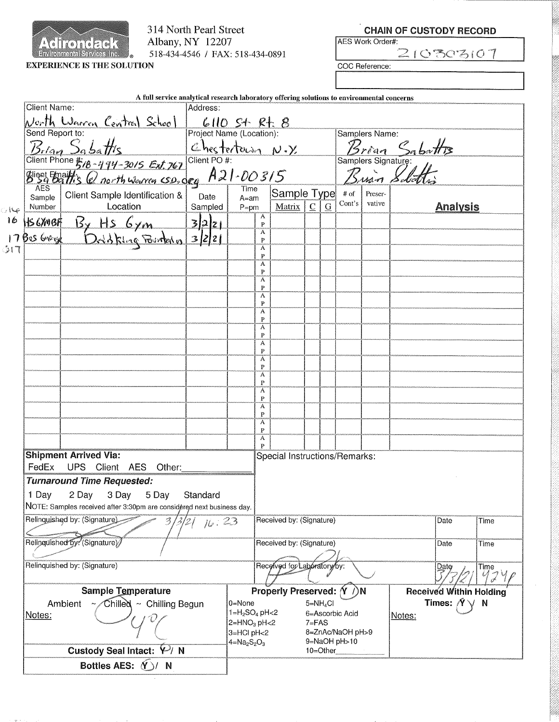

 $\rightarrow$ 16

্যা

314 North Pearl Street Albany, NY 12207 518-434-4546 / FAX: 518-434-0891

|                   |          | <b>CHAIN OF CUSTODY RECORD</b> |
|-------------------|----------|--------------------------------|
| IAES Work Order#: |          |                                |
|                   | 21030310 |                                |

COC Reference:

|                                 | A full service analytical research laboratory offering solutions to environmental concerns<br><b>Client Name:</b> |                                                                                                                                                      |                                                                                             |                                     |                     |                               |            |           |                         |                   |                      |                                |              |
|---------------------------------|-------------------------------------------------------------------------------------------------------------------|------------------------------------------------------------------------------------------------------------------------------------------------------|---------------------------------------------------------------------------------------------|-------------------------------------|---------------------|-------------------------------|------------|-----------|-------------------------|-------------------|----------------------|--------------------------------|--------------|
|                                 |                                                                                                                   |                                                                                                                                                      | Address:                                                                                    |                                     |                     |                               |            |           |                         |                   |                      |                                |              |
|                                 |                                                                                                                   | <u>North Warren Central School</u><br>Send Report to:                                                                                                | $\underbrace{\mathcal{L}}$ 10 S <sup>-4</sup> R <sup>-1</sup> 8<br>Project Name (Location): |                                     |                     |                               |            |           |                         | Samplers Name:    |                      |                                |              |
|                                 |                                                                                                                   | Project Name (Location):<br>Bread Sa battles<br>Client Phone #18-474-3015 Ext. 767 Client PO#:<br>Blight Friats C north Warren csp. deg $A21$ -00315 | Chestertown N.Y                                                                             |                                     |                     |                               |            |           |                         |                   |                      |                                |              |
|                                 |                                                                                                                   |                                                                                                                                                      |                                                                                             |                                     |                     |                               |            |           |                         |                   | <i>Brian</i> Sabatts |                                |              |
|                                 |                                                                                                                   |                                                                                                                                                      |                                                                                             |                                     |                     |                               |            |           |                         |                   | Brian Solatti        |                                |              |
|                                 |                                                                                                                   |                                                                                                                                                      |                                                                                             |                                     |                     |                               |            |           |                         |                   |                      |                                |              |
|                                 | Sample                                                                                                            | Client Sample Identification &                                                                                                                       | Date                                                                                        | $A=am$                              |                     | Sample Type                   |            |           | $\#$ of<br>$\rm Cont's$ | Preser-<br>vative |                      |                                |              |
| جا ا                            | Number                                                                                                            | Location                                                                                                                                             | Sampled                                                                                     | $P=pm$                              | A                   | Matrix $\mathcal C$           |            | ${\bf G}$ |                         |                   |                      | <b>Analysis</b>                |              |
|                                 |                                                                                                                   | 16 HS6XMBF By HS 6ym 3/2/21<br>17 Bes Grage Drubbing Pointering 3/2/21                                                                               |                                                                                             |                                     | $\overline{P}$<br>Ä |                               |            |           |                         |                   |                      |                                |              |
|                                 |                                                                                                                   |                                                                                                                                                      |                                                                                             |                                     | P                   |                               |            |           |                         |                   |                      |                                |              |
| $\mathfrak{z}$ r $\mathfrak{r}$ |                                                                                                                   |                                                                                                                                                      |                                                                                             |                                     | A<br>$\mathbf{P}$   |                               |            |           |                         |                   |                      |                                |              |
|                                 |                                                                                                                   |                                                                                                                                                      |                                                                                             |                                     | А<br>P              |                               |            |           |                         |                   |                      |                                |              |
|                                 |                                                                                                                   |                                                                                                                                                      |                                                                                             |                                     | A<br>$\mathbf{P}$   |                               |            |           |                         |                   |                      |                                |              |
|                                 |                                                                                                                   |                                                                                                                                                      |                                                                                             |                                     | А<br>$\mathbf{P}$   |                               |            |           |                         |                   |                      |                                |              |
|                                 |                                                                                                                   |                                                                                                                                                      |                                                                                             |                                     | Α<br>$\mathbf{P}$   |                               |            |           |                         |                   |                      |                                |              |
|                                 |                                                                                                                   |                                                                                                                                                      |                                                                                             |                                     | Α                   |                               |            |           |                         |                   |                      |                                |              |
|                                 |                                                                                                                   |                                                                                                                                                      |                                                                                             |                                     | $\mathbf{P}$<br>A   |                               |            |           |                         |                   |                      |                                |              |
|                                 |                                                                                                                   |                                                                                                                                                      |                                                                                             |                                     | $\mathbf{P}$<br>A   |                               |            |           |                         |                   |                      |                                |              |
|                                 |                                                                                                                   |                                                                                                                                                      |                                                                                             |                                     | $\mathbf{P}$<br>А   |                               |            |           |                         |                   |                      |                                |              |
|                                 |                                                                                                                   |                                                                                                                                                      |                                                                                             |                                     | $\mathbf{P}$        |                               |            |           |                         |                   |                      |                                |              |
|                                 |                                                                                                                   |                                                                                                                                                      |                                                                                             |                                     | A<br>$\overline{P}$ |                               |            |           |                         |                   |                      |                                |              |
|                                 |                                                                                                                   |                                                                                                                                                      |                                                                                             |                                     | A<br>$\mathbf{P}$   |                               |            |           |                         |                   |                      |                                |              |
|                                 |                                                                                                                   |                                                                                                                                                      |                                                                                             |                                     | A<br>$\mathbf P$    |                               |            |           |                         |                   |                      |                                |              |
|                                 |                                                                                                                   |                                                                                                                                                      |                                                                                             |                                     | A<br>P              |                               |            |           |                         |                   |                      |                                |              |
|                                 |                                                                                                                   | <b>Shipment Arrived Via:</b>                                                                                                                         |                                                                                             |                                     |                     | Special Instructions/Remarks: |            |           |                         |                   |                      |                                |              |
|                                 | FedEx                                                                                                             | UPS Client AES Other:                                                                                                                                |                                                                                             |                                     |                     |                               |            |           |                         |                   |                      |                                |              |
|                                 |                                                                                                                   | <b>Turnaround Time Requested:</b>                                                                                                                    |                                                                                             |                                     |                     |                               |            |           |                         |                   |                      |                                |              |
|                                 | 1 Day                                                                                                             | 2 Day 3 Day<br>5 Day                                                                                                                                 | Standard                                                                                    |                                     |                     |                               |            |           |                         |                   |                      |                                |              |
|                                 |                                                                                                                   | NOTE: Samples received after 3:30pm are considered next business day.                                                                                |                                                                                             |                                     |                     |                               |            |           |                         |                   |                      |                                |              |
|                                 |                                                                                                                   | Relinquished by: (Signature)                                                                                                                         | 16:23                                                                                       |                                     |                     | Received by: (Signature)      |            |           |                         |                   |                      | Date                           | Time         |
|                                 |                                                                                                                   | Relinguished by: (Signature)                                                                                                                         |                                                                                             |                                     |                     | Received by: (Signature)      |            |           |                         |                   |                      | Date                           | <b>Time</b>  |
|                                 |                                                                                                                   |                                                                                                                                                      |                                                                                             |                                     |                     |                               |            |           |                         |                   |                      |                                |              |
|                                 | Relinquished by: (Signature)                                                                                      |                                                                                                                                                      |                                                                                             |                                     |                     | Received for Laboratory by:   |            |           |                         |                   |                      | Date                           | Time<br>4746 |
|                                 |                                                                                                                   | Sample Temperature                                                                                                                                   |                                                                                             |                                     |                     | Properly Preserved: Y /)N     |            |           |                         |                   |                      | <b>Received Within Holding</b> |              |
|                                 | Chilled ~ Chilling Begun<br>Ambient                                                                               |                                                                                                                                                      |                                                                                             |                                     | 0=None              |                               | $5=NH_4Cl$ |           |                         |                   |                      | Times: $\land$ $\lor$ N        |              |
|                                 | Notes:                                                                                                            |                                                                                                                                                      |                                                                                             | $1 = H_2SO_4$ pH <2<br>$2=HMO3 pH2$ |                     |                               | $7 = FAS$  |           | 6=Ascorbic Acid         |                   | Notes:               |                                |              |
|                                 |                                                                                                                   |                                                                                                                                                      |                                                                                             | 3=HCl pH<2                          |                     |                               |            |           | 8=ZnAc/NaOH pH>9        |                   |                      |                                |              |
|                                 |                                                                                                                   | Custody Seal Intact: $\varphi$ N                                                                                                                     |                                                                                             | $4 = Na2S2O3$                       |                     |                               | 10=Other   |           | 9=NaOH pH>10            |                   |                      |                                |              |
|                                 |                                                                                                                   |                                                                                                                                                      |                                                                                             |                                     |                     |                               |            |           |                         |                   |                      |                                |              |

Bottles AES: **Y**)/ N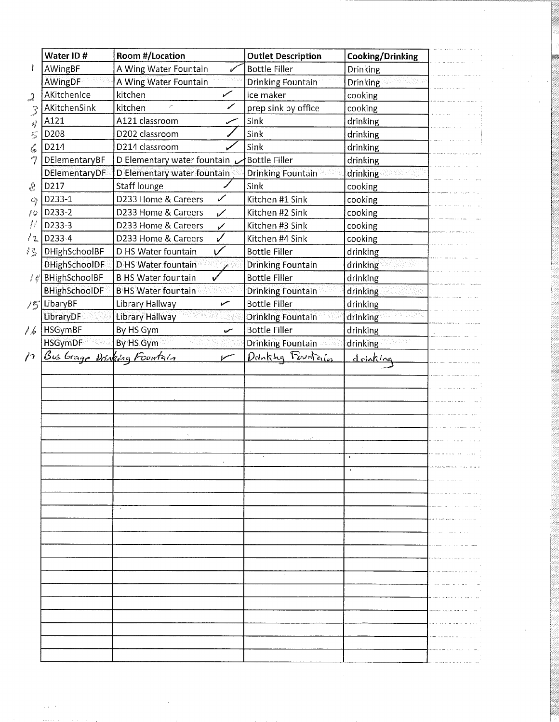| Water ID#                                 | Room #/Location                      | <b>Outlet Description</b> | Cooking/Drinking |  |
|-------------------------------------------|--------------------------------------|---------------------------|------------------|--|
| AWingBF                                   | A Wing Water Fountain                | <b>Bottle Filler</b>      | Drinking         |  |
| AWingDF                                   | A Wing Water Fountain                | <b>Drinking Fountain</b>  | Drinking         |  |
| AKitchenice<br>$\Omega$                   | kitchen<br>ستحمل                     | ice maker                 | cooking          |  |
| AKitchenSink<br>3                         | ✔<br>kitchen                         | prep sink by office       | cooking          |  |
| A121<br>Ý                                 | A121 classroom                       | Sink                      | drinking         |  |
| D208<br>后                                 | D202 classroom                       | Sink                      | drinking         |  |
| D214<br>Ç,                                | D214 classroom                       | Sink                      | drinking         |  |
| 17<br>DElementaryBF                       | D Elementary water fountain L        | <b>Bottle Filler</b>      | drinking         |  |
| DElementaryDF                             | D Elementary water fountain          | <b>Drinking Fountain</b>  | drinking         |  |
| D217<br>දි                                | Staff lounge                         | Sink                      | cooking          |  |
| D233-1<br>C)                              | ✔<br>D233 Home & Careers             | Kitchen #1 Sink           | cooking          |  |
| D233-2<br>ſО                              | D233 Home & Careers<br>$\checkmark$  | Kitchen #2 Sink           | cooking          |  |
| D233-3<br>Ħ                               | D233 Home & Careers<br>$\mathscr{C}$ | Kitchen #3 Sink           | cooking          |  |
| D233-4<br>だる                              | $\checkmark$<br>D233 Home & Careers  | Kitchen #4 Sink           | cooking          |  |
| DHighSchoolBF<br>怨                        | $\checkmark$<br>D HS Water fountain  | <b>Bottle Filler</b>      | drinking         |  |
| DHighSchoolDF                             | D HS Water fountain                  | <b>Drinking Fountain</b>  | drinking         |  |
| $\frac{1}{2}$ & BHighSchoolBF             | <b>B HS Water fountain</b>           | <b>Bottle Filler</b>      | drinking         |  |
| BHighSchoolDF                             | <b>B HS Water fountain</b>           | <b>Drinking Fountain</b>  | drinking         |  |
| LibaryBF<br>15                            | Library Hallway<br>سمع               | <b>Bottle Filler</b>      | drinking         |  |
| LibraryDF                                 | Library Hallway                      | <b>Drinking Fountain</b>  | drinking         |  |
| HSGymBF<br>1.6                            | By HS Gym<br>سمنه                    | <b>Bottle Filler</b>      | drinking         |  |
| <b>HSGymDF</b>                            | By HS Gym                            | <b>Drinking Fountain</b>  | drinking         |  |
| Bus Grage Dorsking Fountain<br>$\sqrt{2}$ |                                      | Dolnking Fountails        | drinking         |  |
|                                           |                                      |                           |                  |  |
|                                           |                                      |                           |                  |  |
|                                           |                                      |                           |                  |  |
|                                           |                                      |                           |                  |  |
|                                           |                                      |                           |                  |  |
|                                           |                                      |                           |                  |  |
|                                           |                                      |                           |                  |  |
|                                           |                                      |                           |                  |  |
|                                           |                                      |                           |                  |  |
|                                           |                                      |                           |                  |  |
|                                           |                                      |                           |                  |  |
|                                           |                                      |                           |                  |  |
|                                           |                                      |                           |                  |  |
|                                           |                                      |                           |                  |  |
|                                           |                                      |                           |                  |  |
|                                           |                                      |                           |                  |  |
|                                           |                                      |                           |                  |  |
|                                           |                                      |                           |                  |  |
|                                           |                                      |                           |                  |  |
|                                           |                                      |                           |                  |  |
|                                           |                                      |                           |                  |  |
|                                           |                                      |                           |                  |  |
|                                           |                                      |                           |                  |  |
|                                           |                                      |                           |                  |  |